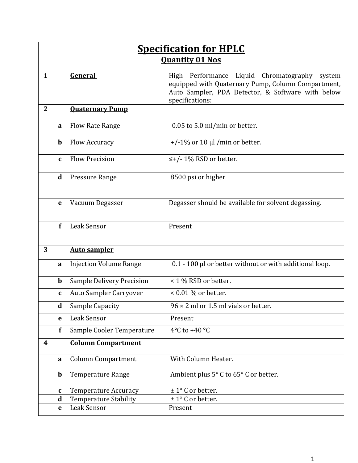|                  | <b>Specification for HPLC</b><br><b>Quantity 01 Nos</b> |                               |                                                                                                                                                                                   |  |  |  |
|------------------|---------------------------------------------------------|-------------------------------|-----------------------------------------------------------------------------------------------------------------------------------------------------------------------------------|--|--|--|
|                  |                                                         |                               |                                                                                                                                                                                   |  |  |  |
| 1                |                                                         | General                       | Liquid Chromatography<br>High Performance<br>system<br>equipped with Quaternary Pump, Column Compartment,<br>Auto Sampler, PDA Detector, & Software with below<br>specifications: |  |  |  |
| $\mathbf{2}$     |                                                         | <b>Ouaternary Pump</b>        |                                                                                                                                                                                   |  |  |  |
|                  | a                                                       | <b>Flow Rate Range</b>        | 0.05 to 5.0 ml/min or better.                                                                                                                                                     |  |  |  |
|                  | $\mathbf b$                                             | Flow Accuracy                 | $+/-1\%$ or 10 µl /min or better.                                                                                                                                                 |  |  |  |
|                  | C                                                       | <b>Flow Precision</b>         | $\leq$ +/- 1% RSD or better.                                                                                                                                                      |  |  |  |
|                  | d                                                       | Pressure Range                | 8500 psi or higher                                                                                                                                                                |  |  |  |
|                  | e                                                       | Vacuum Degasser               | Degasser should be available for solvent degassing.                                                                                                                               |  |  |  |
|                  | f                                                       | Leak Sensor                   | Present                                                                                                                                                                           |  |  |  |
| 3                |                                                         | <b>Auto sampler</b>           |                                                                                                                                                                                   |  |  |  |
|                  | a                                                       | <b>Injection Volume Range</b> | 0.1 - 100 µl or better without or with additional loop.                                                                                                                           |  |  |  |
|                  | $\mathbf b$                                             | Sample Delivery Precision     | < 1 % RSD or better.                                                                                                                                                              |  |  |  |
|                  | С                                                       | <b>Auto Sampler Carryover</b> | $< 0.01$ % or better.                                                                                                                                                             |  |  |  |
|                  | d                                                       | <b>Sample Capacity</b>        | $96 \times 2$ ml or 1.5 ml vials or better.                                                                                                                                       |  |  |  |
|                  | e                                                       | <b>Leak Sensor</b>            | Present                                                                                                                                                                           |  |  |  |
|                  | f                                                       | Sample Cooler Temperature     | 4°C to +40 °C                                                                                                                                                                     |  |  |  |
| $\boldsymbol{4}$ |                                                         | <b>Column Compartment</b>     |                                                                                                                                                                                   |  |  |  |
|                  | a                                                       | <b>Column Compartment</b>     | With Column Heater.                                                                                                                                                               |  |  |  |
|                  | $\mathbf b$                                             | <b>Temperature Range</b>      | Ambient plus 5° C to 65° C or better.                                                                                                                                             |  |  |  |
|                  | $\mathbf c$                                             | <b>Temperature Accuracy</b>   | $\pm 1^{\circ}$ C or better.                                                                                                                                                      |  |  |  |
|                  | d                                                       | <b>Temperature Stability</b>  | $\pm 1^{\circ}$ C or better.                                                                                                                                                      |  |  |  |
|                  | e                                                       | Leak Sensor                   | Present                                                                                                                                                                           |  |  |  |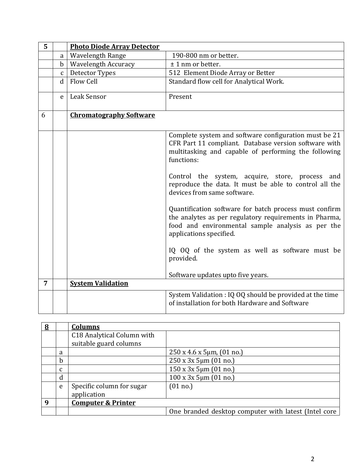| 5 |              | <b>Photo Diode Array Detector</b> |                                                                                                                                                                                                  |  |
|---|--------------|-----------------------------------|--------------------------------------------------------------------------------------------------------------------------------------------------------------------------------------------------|--|
|   | a            | Wavelength Range                  | 190-800 nm or better.                                                                                                                                                                            |  |
|   | $\mathbf b$  | Wavelength Accuracy               | $± 1$ nm or better.                                                                                                                                                                              |  |
|   | $\mathbf{C}$ | Detector Types                    | 512 Element Diode Array or Better                                                                                                                                                                |  |
|   | $\mathbf d$  | Flow Cell                         | Standard flow cell for Analytical Work.                                                                                                                                                          |  |
|   | e            | Leak Sensor                       | Present                                                                                                                                                                                          |  |
| 6 |              | <b>Chromatography Software</b>    |                                                                                                                                                                                                  |  |
|   |              |                                   | Complete system and software configuration must be 21<br>CFR Part 11 compliant. Database version software with<br>multitasking and capable of performing the following<br>functions:             |  |
|   |              |                                   | Control the system, acquire, store, process and<br>reproduce the data. It must be able to control all the<br>devices from same software.                                                         |  |
|   |              |                                   | Quantification software for batch process must confirm<br>the analytes as per regulatory requirements in Pharma,<br>food and environmental sample analysis as per the<br>applications specified. |  |
|   |              |                                   | IQ OQ of the system as well as software must be<br>provided.                                                                                                                                     |  |
|   |              |                                   | Software updates upto five years.                                                                                                                                                                |  |
| 7 |              | <b>System Validation</b>          |                                                                                                                                                                                                  |  |
|   |              |                                   | System Validation : IQ OQ should be provided at the time<br>of installation for both Hardware and Software                                                                                       |  |

| <u>8</u> |   | <b>Columns</b>                |                                                      |
|----------|---|-------------------------------|------------------------------------------------------|
|          |   | C18 Analytical Column with    |                                                      |
|          |   | suitable guard columns        |                                                      |
|          | a |                               | $250 \times 4.6 \times 5 \mu m$ , (01 no.)           |
|          | b |                               | 250 x 3x 5µm (01 no.)                                |
|          | C |                               | $150 \times 3x$ 5µm (01 no.)                         |
|          | d |                               | $100 \times 3x$ 5µm (01 no.)                         |
|          | e | Specific column for sugar     | (01 no.)                                             |
|          |   | application                   |                                                      |
| 9        |   | <b>Computer &amp; Printer</b> |                                                      |
|          |   |                               | One branded desktop computer with latest (Intel core |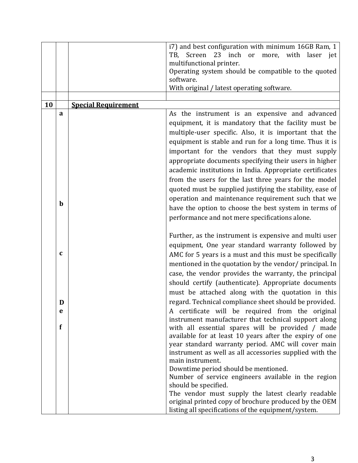|    |             |                            | i7) and best configuration with minimum 16GB Ram, 1<br>TB, Screen<br>23 inch<br>more, with laser jet<br>or<br>multifunctional printer. |
|----|-------------|----------------------------|----------------------------------------------------------------------------------------------------------------------------------------|
|    |             |                            | Operating system should be compatible to the quoted                                                                                    |
|    |             |                            | software.                                                                                                                              |
|    |             |                            | With original / latest operating software.                                                                                             |
| 10 |             | <b>Special Requirement</b> |                                                                                                                                        |
|    | a           |                            | As the instrument is an expensive and advanced                                                                                         |
|    |             |                            | equipment, it is mandatory that the facility must be                                                                                   |
|    |             |                            | multiple-user specific. Also, it is important that the                                                                                 |
|    |             |                            | equipment is stable and run for a long time. Thus it is                                                                                |
|    |             |                            | important for the vendors that they must supply                                                                                        |
|    |             |                            | appropriate documents specifying their users in higher                                                                                 |
|    |             |                            | academic institutions in India. Appropriate certificates                                                                               |
|    |             |                            | from the users for the last three years for the model                                                                                  |
|    |             |                            | quoted must be supplied justifying the stability, ease of                                                                              |
|    | $\mathbf b$ |                            | operation and maintenance requirement such that we                                                                                     |
|    |             |                            | have the option to choose the best system in terms of                                                                                  |
|    |             |                            | performance and not mere specifications alone.                                                                                         |
|    |             |                            |                                                                                                                                        |
|    |             |                            | Further, as the instrument is expensive and multi user<br>equipment, One year standard warranty followed by                            |
|    | $\mathbf c$ |                            | AMC for 5 years is a must and this must be specifically                                                                                |
|    |             |                            | mentioned in the quotation by the vendor/ principal. In                                                                                |
|    |             |                            | case, the vendor provides the warranty, the principal                                                                                  |
|    |             |                            | should certify (authenticate). Appropriate documents                                                                                   |
|    |             |                            | must be attached along with the quotation in this                                                                                      |
|    | D           |                            | regard. Technical compliance sheet should be provided.                                                                                 |
|    | e           |                            | A certificate will be required from the original                                                                                       |
|    |             |                            | instrument manufacturer that technical support along                                                                                   |
|    | f           |                            | with all essential spares will be provided / made                                                                                      |
|    |             |                            | available for at least 10 years after the expiry of one<br>year standard warranty period. AMC will cover main                          |
|    |             |                            | instrument as well as all accessories supplied with the                                                                                |
|    |             |                            | main instrument.                                                                                                                       |
|    |             |                            | Downtime period should be mentioned.                                                                                                   |
|    |             |                            | Number of service engineers available in the region                                                                                    |
|    |             |                            | should be specified.<br>The vendor must supply the latest clearly readable                                                             |
|    |             |                            | original printed copy of brochure produced by the OEM                                                                                  |
|    |             |                            | listing all specifications of the equipment/system.                                                                                    |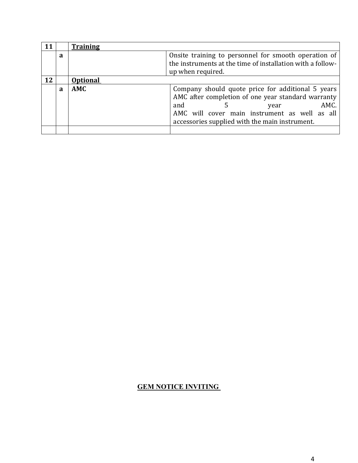| 11 |   | <b>Training</b> |                                                                                                                                                                                                                                   |
|----|---|-----------------|-----------------------------------------------------------------------------------------------------------------------------------------------------------------------------------------------------------------------------------|
|    | a |                 | Onsite training to personnel for smooth operation of<br>the instruments at the time of installation with a follow-                                                                                                                |
|    |   |                 | up when required.                                                                                                                                                                                                                 |
| 12 |   | <b>Optional</b> |                                                                                                                                                                                                                                   |
|    | a | <b>AMC</b>      | Company should quote price for additional 5 years<br>AMC after completion of one year standard warranty<br>AMC.<br>and<br>year<br>AMC will cover main instrument as well as all<br>accessories supplied with the main instrument. |

# **GEM NOTICE INVITING**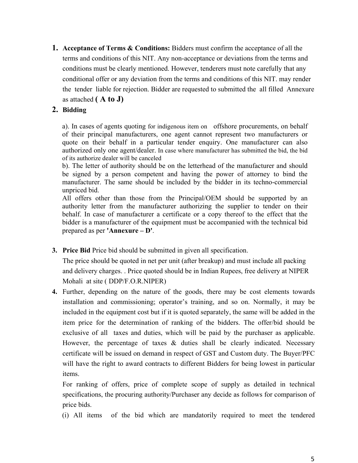**1. Acceptance of Terms & Conditions:** Bidders must confirm the acceptance of all the terms and conditions of this NIT. Any non-acceptance or deviations from the terms and conditions must be clearly mentioned. However, tenderers must note carefully that any conditional offer or any deviation from the terms and conditions of this NIT. may render the tender liable for rejection. Bidder are requested to submitted the all filled Annexure as attached **( A to J)** 

## **2. Bidding**

a). In cases of agents quoting for indigenous item on offshore procurements, on behalf of their principal manufacturers, one agent cannot represent two manufacturers or quote on their behalf in a particular tender enquiry. One manufacturer can also authorized only one agent/dealer. In case where manufacturer has submitted the bid, the bid of its authorize dealer will be canceled

b). The letter of authority should be on the letterhead of the manufacturer and should be signed by a person competent and having the power of attorney to bind the manufacturer. The same should be included by the bidder in its techno-commercial unpriced bid.

All offers other than those from the Principal/OEM should be supported by an authority letter from the manufacturer authorizing the supplier to tender on their behalf. In case of manufacturer a certificate or a copy thereof to the effect that the bidder is a manufacturer of the equipment must be accompanied with the technical bid prepared as per **'Annexure – D'**.

**3. Price Bid** Price bid should be submitted in given all specification.

The price should be quoted in net per unit (after breakup) and must include all packing and delivery charges. . Price quoted should be in Indian Rupees, free delivery at NIPER Mohali at site ( DDP/F.O.R.NIPER)

**4.** Further, depending on the nature of the goods, there may be cost elements towards installation and commissioning; operator's training, and so on. Normally, it may be included in the equipment cost but if it is quoted separately, the same will be added in the item price for the determination of ranking of the bidders. The offer/bid should be exclusive of all taxes and duties, which will be paid by the purchaser as applicable. However, the percentage of taxes & duties shall be clearly indicated. Necessary certificate will be issued on demand in respect of GST and Custom duty. The Buyer/PFC will have the right to award contracts to different Bidders for being lowest in particular items.

For ranking of offers, price of complete scope of supply as detailed in technical specifications, the procuring authority/Purchaser any decide as follows for comparison of price bids.

(i) All items of the bid which are mandatorily required to meet the tendered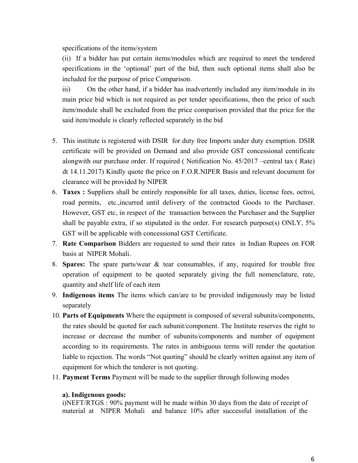specifications of the items/system

(ii) If a bidder has put certain items/modules which are required to meet the tendered specifications in the 'optional' part of the bid, then such optional items shall also be included for the purpose of price Comparison.

iii) On the other hand, if a bidder has inadvertently included any item/module in its main price bid which is not required as per tender specifications, then the price of such item/module shall be excluded from the price comparison provided that the price for the said item/module is clearly reflected separately in the bid

- 5. This institute is registered with DSIR for duty free Imports under duty exemption. DSIR certificate will be provided on Demand and also provide GST concessional centificate alongwith our purchase order. If required ( Notification No. 45/2017 –central tax ( Rate) dt 14.11.2017) Kindly quote the price on F.O.R.NIPER Basis and relevant document for clearance will be provided by NIPER
- 6. **Taxes :** Suppliers shall be entirely responsible for all taxes, duties, license fees, octroi, road permits, etc.,incurred until delivery of the contracted Goods to the Purchaser. However, GST etc, in respect of the transaction between the Purchaser and the Supplier shall be payable extra, if so stipulated in the order. For research purpose(s) ONLY, 5% GST will be applicable with concessional GST Certificate.
- 7. **Rate Comparison** Bidders are requested to send their rates in Indian Rupees on FOR basis at NIPER Mohali.
- 8. **Spares:** The spare parts/wear & tear consumables, if any, required for trouble free operation of equipment to be quoted separately giving the full nomenclature, rate, quantity and shelf life of each item
- 9. **Indigenous items** The items which can/are to be provided indigenously may be listed separately
- 10. **Parts of Equipments** Where the equipment is composed of several subunits/components, the rates should be quoted for each subunit/component. The Institute reserves the right to increase or decrease the number of subunits/components and number of equipment according to its requirements. The rates in ambiguous terms will render the quotation liable to rejection. The words "Not quoting" should be clearly written against any item of equipment for which the tenderer is not quoting.
- 11. **Payment Terms** Payment will be made to the supplier through following modes

#### **a). Indigenous goods:**

i)NEFT/RTGS : 90% payment will be made within 30 days from the date of receipt of material at NIPER Mohali and balance 10% after successful installation of the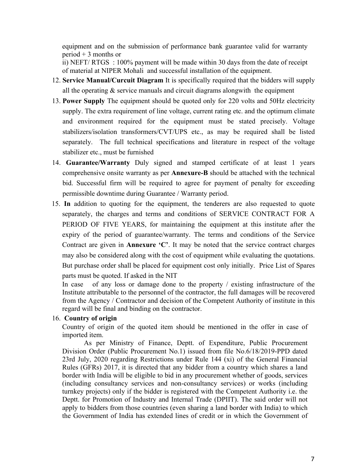equipment and on the submission of performance bank guarantee valid for warranty period  $+3$  months or

ii) NEFT/ RTGS : 100% payment will be made within 30 days from the date of receipt of material at NIPER Mohali and successful installation of the equipment.

- 12. **Service Manual/Curcuit Diagram** It is specifically required that the bidders will supply all the operating  $\&$  service manuals and circuit diagrams alongwith the equipment
- 13. **Power Supply** The equipment should be quoted only for 220 volts and 50Hz electricity supply. The extra requirement of line voltage, current rating etc. and the optimum climate and environment required for the equipment must be stated precisely. Voltage stabilizers/isolation transformers/CVT/UPS etc., as may be required shall be listed separately. The full technical specifications and literature in respect of the voltage stabilizer etc., must be furnished
- 14. **Guarantee/Warranty** Duly signed and stamped certificate of at least 1 years comprehensive onsite warranty as per **Annexure-B** should be attached with the technical bid. Successful firm will be required to agree for payment of penalty for exceeding permissible downtime during Guarantee / Warranty period.
- 15. **In** addition to quoting for the equipment, the tenderers are also requested to quote separately, the charges and terms and conditions of SERVICE CONTRACT FOR A PERIOD OF FIVE YEARS, for maintaining the equipment at this institute after the expiry of the period of guarantee/warranty. The terms and conditions of the Service Contract are given in **Annexure 'C'**. It may be noted that the service contract charges may also be considered along with the cost of equipment while evaluating the quotations. But purchase order shall be placed for equipment cost only initially. Price List of Spares parts must be quoted. If asked in the NIT

In case of any loss or damage done to the property / existing infrastructure of the Institute attributable to the personnel of the contractor, the full damages will be recovered from the Agency / Contractor and decision of the Competent Authority of institute in this regard will be final and binding on the contractor.

#### 16. **Country of origin**

Country of origin of the quoted item should be mentioned in the offer in case of imported item.

As per Ministry of Finance, Deptt. of Expenditure, Public Procurement Division Order (Public Procurement No.1) issued from file No.6/18/2019-PPD dated 23rd July, 2020 regarding Restrictions under Rule 144 (xi) of the General Financial Rules (GFRs) 2017, it is directed that any bidder from a country which shares a land border with India will be eligible to bid in any procurement whether of goods, services (including consultancy services and non-consultancy services) or works (including turnkey projects) only if the bidder is registered with the Competent Authority i.e. the Deptt. for Promotion of Industry and Internal Trade (DPIIT). The said order will not apply to bidders from those countries (even sharing a land border with India) to which the Government of India has extended lines of credit or in which the Government of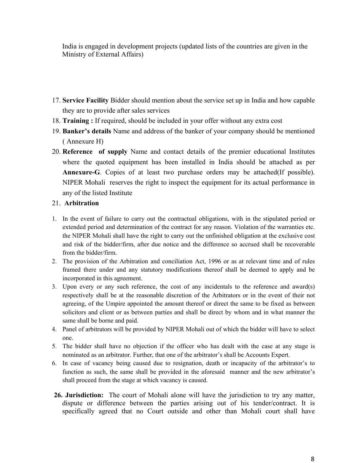India is engaged in development projects (updated lists of the countries are given in the Ministry of External Affairs)

- 17. **Service Facility** Bidder should mention about the service set up in India and how capable they are to provide after sales services
- 18. **Training :** If required, should be included in your offer without any extra cost
- 19. **Banker's details** Name and address of the banker of your company should be mentioned ( Annexure H)
- 20. **Reference of supply** Name and contact details of the premier educational Institutes where the quoted equipment has been installed in India should be attached as per **Annexure-G**. Copies of at least two purchase orders may be attached(If possible). NIPER Mohali reserves the right to inspect the equipment for its actual performance in any of the listed Institute

## 21. **Arbitration**

- 1. In the event of failure to carry out the contractual obligations, with in the stipulated period or extended period and determination of the contract for any reason. Violation of the warranties etc. the NIPER Mohali shall have the right to carry out the unfinished obligation at the exclusive cost and risk of the bidder/firm, after due notice and the difference so accrued shall be recoverable from the bidder/firm.
- 2. The provision of the Arbitration and conciliation Act, 1996 or as at relevant time and of rules framed there under and any statutory modifications thereof shall be deemed to apply and be incorporated in this agreement.
- 3. Upon every or any such reference, the cost of any incidentals to the reference and award(s) respectively shall be at the reasonable discretion of the Arbitrators or in the event of their not agreeing, of the Umpire appointed the amount thereof or direct the same to be fixed as between solicitors and client or as between parties and shall be direct by whom and in what manner the same shall be borne and paid.
- 4. Panel of arbitrators will be provided by NIPER Mohali out of which the bidder will have to select one.
- 5. The bidder shall have no objection if the officer who has dealt with the case at any stage is nominated as an arbitrator. Further, that one of the arbitrator's shall be Accounts Expert.
- 6. In case of vacancy being caused due to resignation, death or incapacity of the arbitrator's to function as such, the same shall be provided in the aforesaid manner and the new arbitrator's shall proceed from the stage at which vacancy is caused.
- **26. Jurisdiction:** The court of Mohali alone will have the jurisdiction to try any matter, dispute or difference between the parties arising out of his tender/contract. It is specifically agreed that no Court outside and other than Mohali court shall have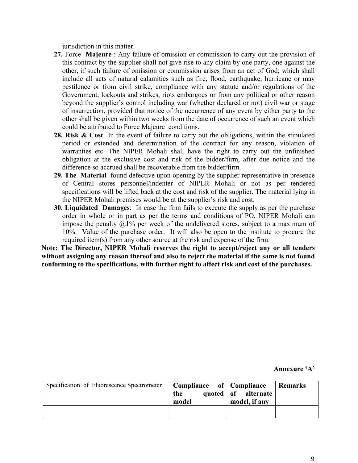jurisdiction in this matter.

- **27.** Force **Majeure** : Any failure of omission or commission to carry out the provision of this contract by the supplier shall not give rise to any claim by one party, one against the other, if such failure of omission or commission arises from an act of God; which shall include all acts of natural calamities such as fire, flood, earthquake, hurricane or may pestilence or from civil strike, compliance with any statute and/or regulations of the Government, lockouts and strikes, riots embargoes or from any political or other reason beyond the supplier's control including war (whether declared or not) civil war or stage of insurrection, provided that notice of the occurrence of any event by either party to the other shall be given within two weeks from the date of occurrence of such an event which could be attributed to Force Majeure conditions.
- **28. Risk & Cost** In the event of failure to carry out the obligations, within the stipulated period or extended and determination of the contract for any reason, violation of warranties etc. The NIPER Mohali shall have the right to carry out the unfinished obligation at the exclusive cost and risk of the bidder/firm, after due notice and the difference so accrued shall be recoverable from the bidder/firm.
- **29. The Material** found defective upon opening by the supplier representative in presence of Central stores personnel/indenter of NIPER Mohali or not as per tendered specifications will be lifted back at the cost and risk of the supplier. The material lying in the NIPER Mohali premises would be at the supplier's risk and cost.
- **30. Liquidated Damages**: In case the firm fails to execute the supply as per the purchase order in whole or in part as per the terms and conditions of PO, NIPER Mohali can impose the penalty  $(201\%$  per week of the undelivered stores, subject to a maximum of 10%. Value of the purchase order. It will also be open to the institute to procure the required item(s) from any other source at the risk and expense of the firm.

**Note: The Director, NIPER Mohali reserves the right to accept/reject any or all tenders without assigning any reason thereof and also to reject the material if the same is not found conforming to the specifications, with further right to affect risk and cost of the purchases.**

**Annexure 'A'**

| Specification of Fluorescence Spectrometer | Compliance of Compliance<br>the<br>model | quoted of alternate<br>model, if any | Remarks |
|--------------------------------------------|------------------------------------------|--------------------------------------|---------|
|                                            |                                          |                                      |         |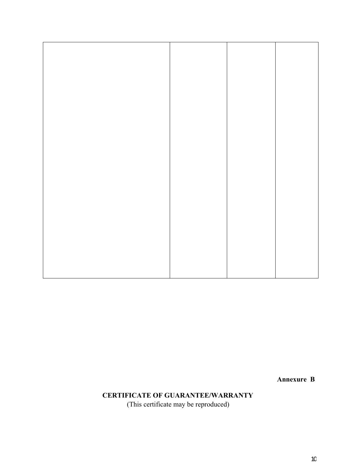**Annexure B**

# **CERTIFICATE OF GUARANTEE/WARRANTY**

(This certificate may be reproduced)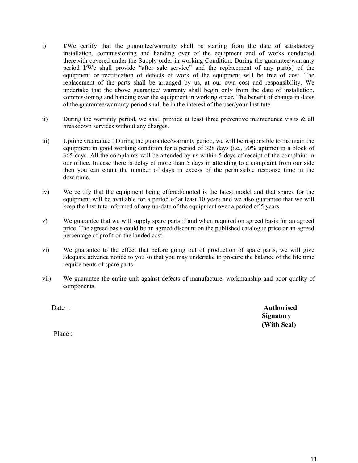- i) I/We certify that the guarantee/warranty shall be starting from the date of satisfactory installation, commissioning and handing over of the equipment and of works conducted therewith covered under the Supply order in working Condition. During the guarantee/warranty period I/We shall provide "after sale service" and the replacement of any part(s) of the equipment or rectification of defects of work of the equipment will be free of cost. The replacement of the parts shall be arranged by us, at our own cost and responsibility. We undertake that the above guarantee/ warranty shall begin only from the date of installation, commissioning and handing over the equipment in working order. The benefit of change in dates of the guarantee/warranty period shall be in the interest of the user/your Institute.
- ii) During the warranty period, we shall provide at least three preventive maintenance visits  $\&$  all breakdown services without any charges.
- iii) Uptime Guarantee : During the guarantee/warranty period, we will be responsible to maintain the equipment in good working condition for a period of 328 days (i.e., 90% uptime) in a block of 365 days. All the complaints will be attended by us within 5 days of receipt of the complaint in our office. In case there is delay of more than 5 days in attending to a complaint from our side then you can count the number of days in excess of the permissible response time in the downtime.
- iv) We certify that the equipment being offered/quoted is the latest model and that spares for the equipment will be available for a period of at least 10 years and we also guarantee that we will keep the Institute informed of any up-date of the equipment over a period of 5 years.
- v) We guarantee that we will supply spare parts if and when required on agreed basis for an agreed price. The agreed basis could be an agreed discount on the published catalogue price or an agreed percentage of profit on the landed cost.
- vi) We guarantee to the effect that before going out of production of spare parts, we will give adequate advance notice to you so that you may undertake to procure the balance of the life time requirements of spare parts.
- vii) We guarantee the entire unit against defects of manufacture, workmanship and poor quality of components.

Date : **Authorised** *Authorised* **Signatory (With Seal)**

Place :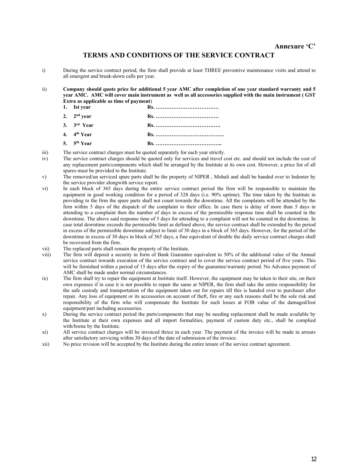#### **TERMS AND CONDITIONS OF THE SERVICE CONTRACT**

i) During the service contract period, the firm shall provide at least THREE preventive maintenance visits and attend to all emergent and break-down calls per year.

ii) **Company should quote price for additional 5 year AMC after completion of one year standard warranty and 5 year AMC. AMC will cover main instrument as well as all accessories supplied with the main instrument ( GST Extra as applicable as time of payment**)

| 1. Ist year             |                                                                       |
|-------------------------|-----------------------------------------------------------------------|
| 2. $2nd$ year           |                                                                       |
| 3. 3 <sup>rd</sup> Year | $\mathbf{Rs.}\dots\dots\dots\dots\dots\dots\dots\dots\dots\dots\dots$ |
| 4. $4^{\text{th}}$ Year | $\mathbf{Rs.}\dots\dots\dots\dots\dots\dots\dots\dots\dots\dots\dots$ |
| 5. $5^{\text{th}}$ Year |                                                                       |

- iii) The service contract charges must be quoted separately for each year strictly.
- iv) The service contract charges should be quoted only for services and travel cost etc. and should not include the cost of any replacement parts/components which shall be arranged by the Institute at its own cost. However, a price list of all spares must be provided to the Institute.
- v) The removed/un serviced spare parts shall be the property of NIPER , Mohali and shall be handed over to Indenter by the service provider alongwith service report.
- vi) In each block of 365 days during the entire service contract period the firm will be responsible to maintain the equipment in good working condition for a period of 328 days (i.e. 90% uptime). The time taken by the Institute in providing to the firm the spare parts shall not count towards the downtime. All the complaints will be attended by the firm within 5 days of the dispatch of the complaint to their office. In case there is delay of more than 5 days in attending to a complaint then the number of days in excess of the permissible response time shall be counted in the downtime. The above said response time of 5 days for attending to a complaint will not be counted in the downtime. In case total downtime exceeds the permissible limit as defined above, the service contract shall be extended by the period in excess of the permissible downtime subject to limit of 30 days in a block of 365 days. However, for the period of the downtime in excess of 30 days in block of 365 days, a fine equivalent of double the daily service contract charges shall be recovered from the firm.
- vii) The replaced parts shall remain the property of the Institute.
- viii) The firm will deposit a security in form of Bank Guarantee equivalent to 50% of the additional value of the Annual service contract towards execution of the service contract and to cover the service contract period of five years. This will be furnished within a period of 15 days after the expiry of the guarantee/warranty period. No Advance payment of AMC shall be made under normal circumstances.
- ix) The firm shall try to repair the equipment at Institute itself. However, the equipment may be taken to their site, on their own expenses if in case it is not possible to repair the same at NIPER, the firm shall take the entire responsibility for the safe custody and transportation of the equipment taken out for repairs till this is handed over to purchaser after repair. Any loss of equipment or its accessories on account of theft, fire or any such reasons shall be the sole risk and responsibility of the firm who will compensate the Institute for such losses at FOB value of the damaged/lost equipment/part including accessories.
- x) During the service contract period the parts/components that may be needing replacement shall be made available by the Institute at their own expenses and all import formalities, payment of custom duty etc., shall be complied with/borne by the Institute.
- xi) All service contract charges will be invoiced thrice in each year. The payment of the invoice will be made in arrears after satisfactory servicing within 30 days of the date of submission of the invoice.
- xii) No price revision will be accepted by the Institute during the entire tenure of the service contract agreement.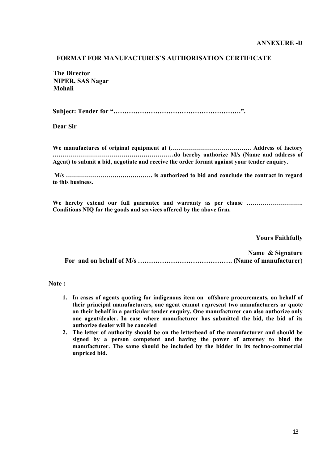#### **FORMAT FOR MANUFACTURES`S AUTHORISATION CERTIFICATE**

 **The Director NIPER, SAS Nagar Mohali** 

**Subject: Tender for "………………………………………………….".** 

**Dear Sir** 

**We manufactures of original equipment at (…………………………………. Address of factory ……………………………………………………do hereby authorize M/s (Name and address of Agent) to submit a bid, negotiate and receive the order format against your tender enquiry.**

**M/s ……………………………………. is authorized to bid and conclude the contract in regard to this business.** 

**We hereby extend our full guarantee and warranty as per clause ………………………. Conditions NIQ for the goods and services offered by the above firm.**

**Yours Faithfully** 

**Name & Signature For and on behalf of M/s ……………………………………. (Name of manufacturer)** 

 **Note :**

- **1. In cases of agents quoting for indigenous item on offshore procurements, on behalf of their principal manufacturers, one agent cannot represent two manufacturers or quote on their behalf in a particular tender enquiry. One manufacturer can also authorize only one agent/dealer. In case where manufacturer has submitted the bid, the bid of its authorize dealer will be canceled**
- **2. The letter of authority should be on the letterhead of the manufacturer and should be signed by a person competent and having the power of attorney to bind the manufacturer. The same should be included by the bidder in its techno-commercial unpriced bid.**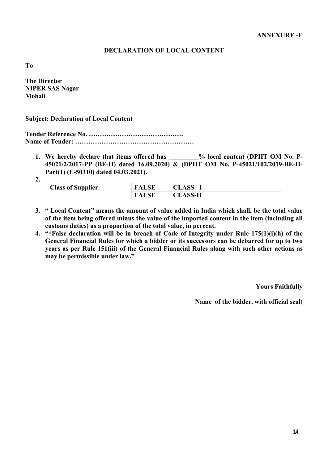#### **DECLARATION OF LOCAL CONTENT**

**To**

**The Director NIPER SAS Nagar Mohali** 

**Subject: Declaration of Local Content** 

**Tender Reference No. ……………………………………. Name of Tender: ………………………………………………** 

1. We hereby declare that items offered has  $\%$  local content (DPIIT OM No. P-**45021/2/2017-PP (BE-II) dated 16.09.2020) & (DPIIT OM No. P-45021/102/2019-BE-II-Part(1) (E-50310) dated 04.03.2021).** 

**2.**

| <b>Class of Supplier</b> | <b>FALSE</b> | CLASS –I        |
|--------------------------|--------------|-----------------|
|                          | <b>FALSE</b> | <b>CLASS-II</b> |

- **3. " Local Content" means the amount of value added in India which shall, be the total value of the item being offered minus the value of the imported content in the item (including all customs duties) as a proportion of the total value, in percent.**
- **4. "\*False declaration will be in breach of Code of Integrity under Rule 175(1)(i)(h) of the General Financial Rules for which a bidder or its successors can be debarred for up to two years as per Rule 151(iii) of the General Financial Rules along with such other actions as may be permissible under law."**

**Yours Faithfully** 

**Name of the bidder, with official seal)**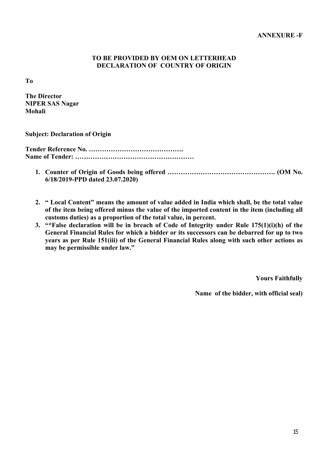#### **TO BE PROVIDED BY OEM ON LETTERHEAD DECLARATION OF COUNTRY OF ORIGIN**

**To**

**The Director NIPER SAS Nagar Mohali** 

**Subject: Declaration of Origin**

**Tender Reference No. ……………………………………. Name of Tender: ………………………………………………** 

- **1. Counter of Origin of Goods being offered …………………………………………. (OM No. 6/18/2019-PPD dated 23.07.2020)**
- **2. " Local Content" means the amount of value added in India which shall, be the total value of the item being offered minus the value of the imported content in the item (including all customs duties) as a proportion of the total value, in percent.**
- **3. "\*False declaration will be in breach of Code of Integrity under Rule 175(1)(i)(h) of the General Financial Rules for which a bidder or its successors can be debarred for up to two years as per Rule 151(iii) of the General Financial Rules along with such other actions as may be permissible under law."**

**Yours Faithfully** 

**Name of the bidder, with official seal)**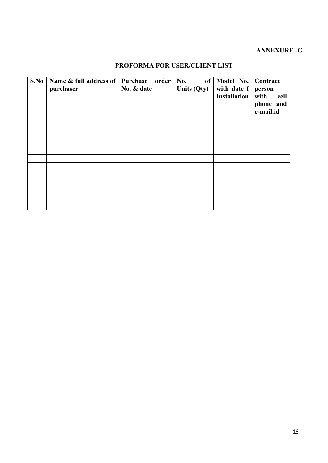## **ANNEXURE -G**

# **PROFORMA FOR USER/CLIENT LIST**

| S.No | Name & full address of<br>purchaser | Purchase<br>order  <br>No. & date | of<br><b>No.</b><br>Units (Qty) | Model No. Contract<br>with date f<br><b>Installation</b> | person<br>with<br>cell<br>phone and |
|------|-------------------------------------|-----------------------------------|---------------------------------|----------------------------------------------------------|-------------------------------------|
|      |                                     |                                   |                                 |                                                          | e-mail.id                           |
|      |                                     |                                   |                                 |                                                          |                                     |
|      |                                     |                                   |                                 |                                                          |                                     |
|      |                                     |                                   |                                 |                                                          |                                     |
|      |                                     |                                   |                                 |                                                          |                                     |
|      |                                     |                                   |                                 |                                                          |                                     |
|      |                                     |                                   |                                 |                                                          |                                     |
|      |                                     |                                   |                                 |                                                          |                                     |
|      |                                     |                                   |                                 |                                                          |                                     |
|      |                                     |                                   |                                 |                                                          |                                     |
|      |                                     |                                   |                                 |                                                          |                                     |
|      |                                     |                                   |                                 |                                                          |                                     |
|      |                                     |                                   |                                 |                                                          |                                     |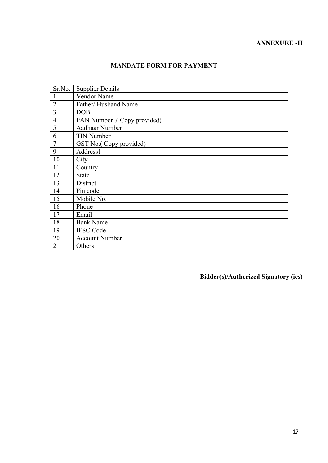# **MANDATE FORM FOR PAYMENT**

| Sr.No.         | <b>Supplier Details</b>     |
|----------------|-----------------------------|
|                | Vendor Name                 |
| $\overline{2}$ | Father/Husband Name         |
| 3              | DOB                         |
| $\overline{4}$ | PAN Number .(Copy provided) |
| 5              | Aadhaar Number              |
| 6              | <b>TIN Number</b>           |
| $\overline{7}$ | GST No.(Copy provided)      |
| 9              | Address1                    |
| 10             | City                        |
| 11             | Country                     |
| 12             | <b>State</b>                |
| 13             | District                    |
| 14             | Pin code                    |
| 15             | Mobile No.                  |
| 16             | Phone                       |
| 17             | Email                       |
| 18             | <b>Bank Name</b>            |
| 19             | <b>IFSC</b> Code            |
| 20             | <b>Account Number</b>       |
| 21             | Others                      |

**Bidder(s)/Authorized Signatory (ies)**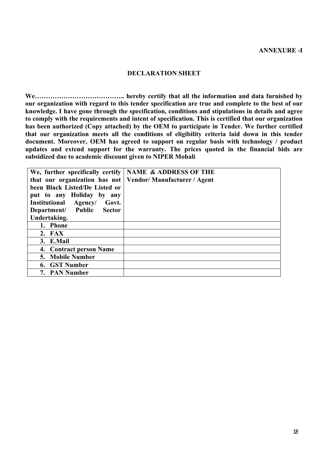#### **DECLARATION SHEET**

**We………………………………….. hereby certify that all the information and data furnished by our organization with regard to this tender specification are true and complete to the best of our knowledge. I have gone through the specification, conditions and stipulations in details and agree to comply with the requirements and intent of specification. This is certified that our organization has been authorized (Copy attached) by the OEM to participate in Tender. We further certified that our organization meets all the conditions of eligibility criteria laid down in this tender document. Moreover, OEM has agreed to support on regular basis with technology / product updates and extend support for the warranty. The prices quoted in the financial bids are subsidized due to academic discount given to NIPER Mohali** 

| We, further specifically certify                          | NAME & ADDRESS OF THE |
|-----------------------------------------------------------|-----------------------|
| that our organization has not   Vendor/Manufacturer/Agent |                       |
| been Black Listed/De Listed or                            |                       |
| put to any Holiday by<br>any                              |                       |
| <b>Institutional</b><br>Agency/<br>Govt.                  |                       |
| Public<br>Department/<br><b>Sector</b>                    |                       |
| Undertaking.                                              |                       |
| <b>Phone</b>                                              |                       |
| 2. FAX                                                    |                       |
| 3. E.Mail                                                 |                       |
| 4. Contract person Name                                   |                       |
| 5. Mobile Number                                          |                       |
| 6. GST Number                                             |                       |
| 7. PAN Number                                             |                       |